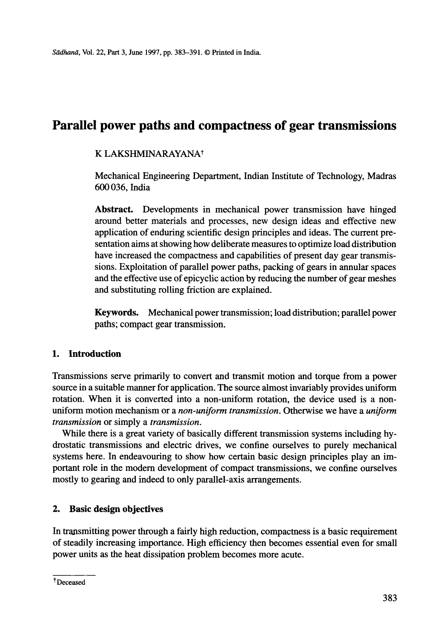# **Parallel power paths and compactness of gear transmissions**

# K LAKSHMINARAYANAt

Mechanical Engineering Department, Indian Institute of Technology, Madras 600 036, India

**Abstract.** Developments in mechanical power transmission have hinged around better materials and processes, new design ideas and effective new application of enduring scientific design principles and ideas. The current presentation aims at showing how deliberate measures to optimize load distribution have increased the compactness and capabilities of present day gear transmissions. Exploitation of parallel power paths, packing of gears in annular spaces and the effective use of epicyclic action by reducing the number of gear meshes and substituting rolling friction are explained.

**Keywords.** Mechanical power transmission; load distribution; parallel power paths; compact gear transmission.

# **1. Introduction**

Transmissions serve primarily to convert and transmit motion and torque from a power source in a suitable manner for application. The source almost invariably provides uniform rotation. When it is converted into a non-uniform rotation, the device used is a nonuniform motion mechanism or a *non-uniform transmission.* Otherwise we have a *uniform transmission* or simply a *transmission.* 

While there is a great variety of basically different transmission systems including hydrostatic transmissions and electric drives, we confine ourselves to purely mechanical systems here. In endeavouring to show how certain basic design principles play an important role in the modem development of compact transmissions, we confine ourselves mostly to gearing and indeed to only parallel-axis arrangements.

## **2. Basic design objectives**

In transmitting power through a fairly high reduction, compactness is a basic requirement of steadily increasing importance. High efficiency then becomes essential even for small power units as the heat dissipation problem becomes more acute.

tDeceased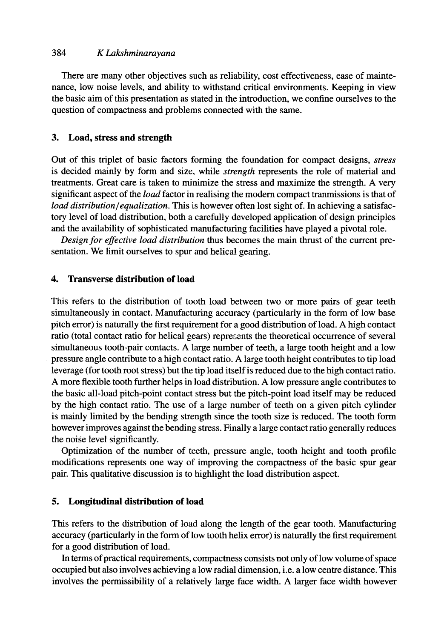#### 384 *K Lakshminarayana*

There are many other objectives such as reliability, cost effectiveness, ease of maintenance, low noise levels, and ability to withstand critical environments. Keeping in view the basic aim of this presentation as stated in the introduction, we confine ourselves to the question of compactness and problems connected with the same.

#### **3. Load, stress and strength**

Out of this triplet of basic factors forming the foundation for compact designs, *stress*  is decided mainly by form and size, while *strength* represents the role of material and treatments. Great care is taken to minimize the stress and maximize the strength. A very significant aspect of the *load* factor in realising the modem compact tranmissions is that of *load distribution~equalization.* This is however often lost sight of. In achieving a satisfactory level of load distribution, both a carefully developed application of design principles and the availability of sophisticated manufacturing facilities have played a pivotal role.

*Design for effective load distribution* thus becomes the main thrust of the current presentation. We limit ourselves to spur and helical gearing.

## **4. Transverse distribution of load**

This refers to the distribution of tooth load between two or more pairs of gear teeth simultaneously in contact. Manufacturing accuracy (particularly in the form of low base pitch error) is naturally the first requirement for a good distribution of load. A high contact ratio (total contact ratio for helical gears) represents the theoretical occurrence of several simultaneous tooth-pair contacts. A large number of teeth, a large tooth height and a low pressure angle contribute to a high contact ratio. A large tooth height contributes to tip load leverage (for tooth root stress) but the tip load itself is reduced due to the high contact ratio. A more flexible tooth further helps in load distribution. A low pressure angle contributes to the basic all-load pitch-point contact stress but the pitch-point load itself may be reduced by the high contact ratio. The use of a large number of teeth on a given pitch cylinder is mainly limited by the bending strength since the tooth size is reduced. The tooth form however improves against the bending stress. Finally a large contact ratio generally reduces the noise level significantly.

Optimization of the number of teeth, pressure angle, tooth height and tooth profile modifications represents one way of improving the compactness of the basic spur gear pair. This qualitative discussion is to highlight the load distribution aspect.

## **5. Longitudinal distribution of load**

This refers to the distribution of load along the length of the gear tooth. Manufacturing accuracy (particularly in the form of low tooth helix error) is naturally the first requirement for a good distribution of load.

In terms of practical requirements, compactness consists not only of low volume of space occupied but also involves achieving a low radial dimension, i.e. a low centre distance. This involves the permissibility of a relatively large face width. A larger face width however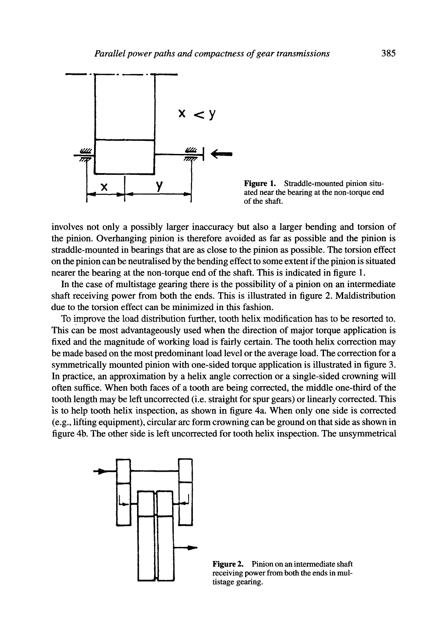

**y Figure 1.** Straddle-mounted pinion situated near the bearing at the non-torque end of the shaft.

involves not only a possibly larger inaccuracy but also a larger bending and torsion of the pinion. Overhanging pinion is therefore avoided as far as possible and the pinion is straddle-mounted in bearings that are as close to the pinion as possible. The torsion effect on the pinion can be neutralised by the bending effect to some extent if the pinion is situated nearer the bearing at the non-torque end of the shaft. This is indicated in figure 1.

In the case of multistage gearing there is the possibility of a pinion on an intermediate shaft receiving power from both the ends. This is illustrated in figure 2. Maldistribution due to the torsion effect can be minimized in this fashion.

To improve the load distribution further, tooth helix modification has to be resorted to. This can be most advantageously used when the direction of major torque application is fixed and the magnitude of working load is fairly certain. The tooth helix correction may be made based on the most predominant load level or the average load. The correction for a symmetrically mounted pinion with one-sided torque application is illustrated in figure 3. In practice, an approximation by a helix angle correction or a single-sided crowning will often suffice. When both faces of a tooth are being corrected, the middle one-third of the tooth length may be left uncorrected (i.e. straight for spur gears) or linearly corrected. This is to help tooth helix inspection, as shown in figure 4a. When only one side is corrected (e.g., lifting equipment), circular arc form crowning can be ground on that side as shown in figure 4b. The other side is left uncorrected for tooth helix inspection. The unsymmetrical



**Figure 2.** Pinion on an intermediate shaft receiving power from both the ends in multistage gearing.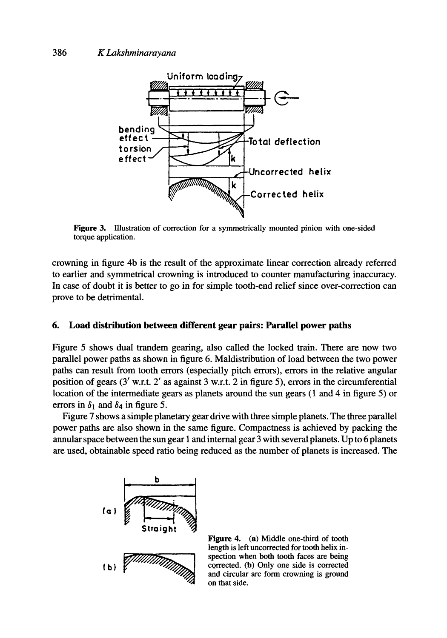

Figure 3. Illustration of correction for a symmetrically mounted pinion with one-sided torque application.

crowning in figure 4b is the result of the approximate linear correction already referred to earlier and symmetrical crowning is introduced to counter manufacturing inaccuracy. In case of doubt it is better to go in for simple tooth-end relief since over-correction can prove to be detrimental.

#### **6. Load distribution between different gear pairs: Parallel power paths**

Figure 5 shows dual trandem gearing, also called the locked train. There are now two parallel power paths as shown in figure 6. Maldistribution of load between the two power paths can result from tooth errors (especially pitch errors), errors in the relative angular position of gears  $(3'$  w.r.t.  $2'$  as against 3 w.r.t. 2 in figure 5), errors in the circumferential location of the intermediate gears as planets around the sun gears (1 and 4 in figure 5) or errors in  $\delta_1$  and  $\delta_4$  in figure 5.

Figure 7 shows a simple planetary gear drive with three simple planets. The three parallel power paths are also shown in the same figure. Compactness is achieved by packing the annular space between the sun gear 1 and internal gear 3 with several planets. Up to 6 planets are used, obtainable speed ratio being reduced as the number of planets is increased. The



Figure 4. (a) Middle one-third of tooth length is left uncorrected for tooth helix inspection when both tooth faces are being corrected. (b) Only one side is corrected and circular arc form crowning is ground on that side.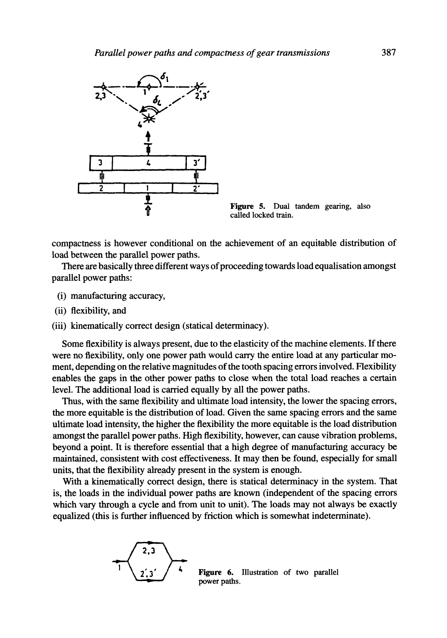

called locked train.

compactness is however conditional on the achievement of an equitable distribution of load between the parallel power paths.

There are basically three different ways of proceeding towards load equalisation amongst parallel power paths:

- (i) manufacturing accuracy,
- (ii) flexibility, and
- (iii) kinematically correct design (statical determinacy).

Some flexibility is always present, due to the elasticity of the machine elements. If there were no flexibility, only one power path would carry the entire load at any particular moment, depending on the relative magnitudes of the tooth spacing errors involved. Flexibility enables the gaps in the other power paths to close when the total load reaches a certain level. The additional load is carried equally by all the power paths.

Thus, with the same flexibility and ultimate load intensity, the lower the spacing errors, the more equitable is the distribution of load. Given the same spacing errors and the same ultimate load intensity, the higher the flexibility the more equitable is the load distribution amongst the parallel power paths. High flexibility, however, can cause vibration problems, beyond a point. It is therefore essential that a high degree of manufacturing accuracy be maintained, consistent with cost effectiveness. It may then be found, especially for small units, that the flexibility already present in the system is enough.

With a kinematically correct design, there is statical determinacy in the system. That is, the loads in the individual power paths are known (independent of the spacing errors which vary through a cycle and from unit to unit). The loads may not always be exactly equalized (this is further influenced by friction which is somewhat indeterminate).



Figure 6. Illustration of two parallel power paths.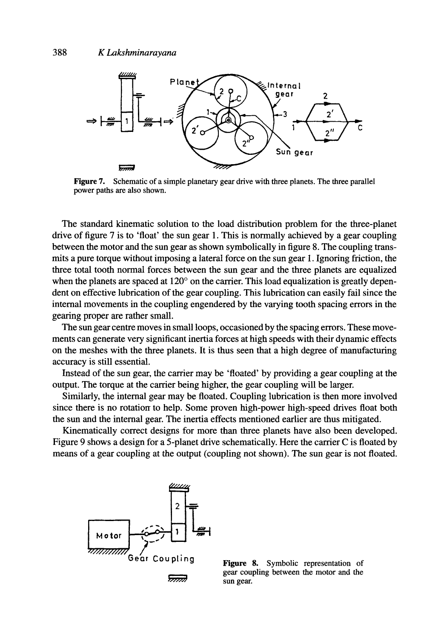

Figure 7. Schematic of a simple planetary gear drive with three planets. The three parallel power paths are also shown.

The standard kinematic solution to the load distribution problem for the three-planet drive of figure 7 is to 'float' the sun gear 1. This is normally achieved by a gear coupling between the motor and the sun gear as shown symbolically in figure 8. The coupling transmits a pure torque without imposing a lateral force on the sun gear 1. Ignoring friction, the three total tooth normal forces between the sun gear and the three planets are equalized when the planets are spaced at  $120^{\circ}$  on the carrier. This load equalization is greatly dependent on effective lubrication of the gear coupling. This lubrication can easily fail since the internal movements in the coupling engendered by the varying tooth spacing errors in the gearing proper are rather small.

The sun gear centre moves in small loops, occasioned by the spacing errors. These movements can generate very significant inertia forces at high speeds with their dynamic effects on the meshes with the three planets. It is thus seen that a high degree of manufacturing accuracy is still essential.

Instead of the sun gear, the carrier may be 'floated' by providing a gear coupling at **the**  output. The torque at the carrier being higher, the gear coupling will be larger.

Similarly, the internal gear may be floated. Coupling lubrication is then more involved since there is no rotation to help. Some proven high-power high-speed drives float both the sun and the internal gear. The inertia effects mentioned earlier are thus mitigated.

Kinematically correct designs for more than three planets have also been developed. Figure 9 shows a design for a 5-planet drive schematically. Here the carrier C is floated by means of a gear coupling at the output (coupling not shown). The sun gear is not floated.



gear coupling between the motor and the sun gear.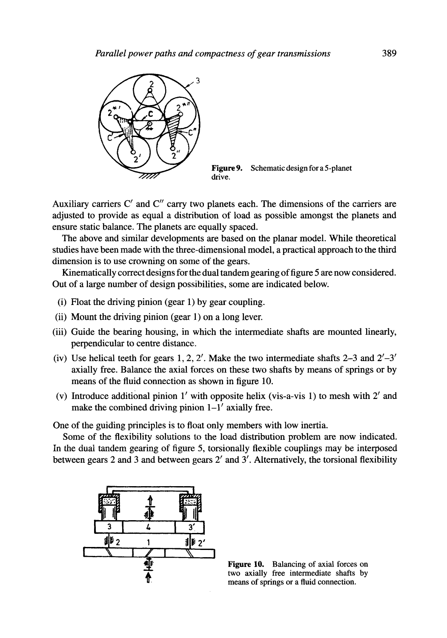

Figure 9. Schematic design for a 5-planet drive.

Auxiliary carriers C' and C'' carry two planets each. The dimensions of the carriers are adjusted to provide as equal a distribution of load as possible amongst the planets and ensure static balance. The planets are equally spaced.

The above and similar developments are based on the planar model. While theoretical studies have been made with the three-dimensional model, a practical approach to the third dimension is to use crowning on some of the gears.

Kinematically correct designs for the dual tandem gearing of figure 5 are now considered. Out of a large number of design possibilities, some are indicated below.

- (i) Float the driving pinion (gear 1) by gear coupling.
- (ii) Mount the driving pinion (gear 1) on a long lever.
- (iii) Guide the bearing housing, in which the intermediate shafts are mounted linearly, perpendicular to centre distance.
- (iv) Use helical teeth for gears 1, 2, 2'. Make the two intermediate shafts 2–3 and  $2^{\prime}-3'$ axially free. Balance the axial forces on these two shafts by means of springs or by means of the fluid connection as shown in figure 10.
- (v) Introduce additional pinion  $1'$  with opposite helix (vis-a-vis 1) to mesh with  $2'$  and make the combined driving pinion  $1-1'$  axially free.

One of the guiding principles is to float only members with low inertia.

Some of the flexibility solutions to the load distribution problem are now indicated. In the dual tandem gearing of figure 5, torsionally flexible couplings may be interposed between gears 2 and 3 and between gears 2' and 3'. Alternatively, the torsional flexibility



**Figure 10.** Balancing of axial forces on two axially free intermediate shafts by means of springs or a fluid connection.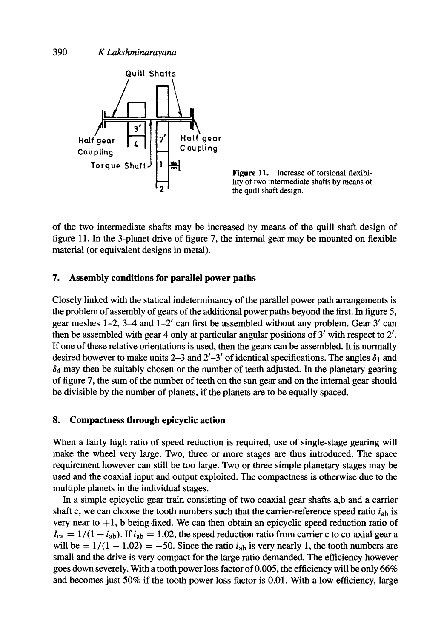



of the two intermediate shafts may be increased by means of the quill shaft design of figure 11. In the 3-planet drive of figure 7, the internal gear may be mounted on flexible material (or equivalent designs in metal).

#### **7. Assembly conditions for parallel power paths**

Closely linked with the statical indeterminancy of the parallel power path arrangements is the problem of assembly of gears of the additional power paths beyond the first. In figure 5, gear meshes  $1-2$ ,  $3-4$  and  $1-2'$  can first be assembled without any problem. Gear 3' can then be assembled with gear 4 only at particular angular positions of  $3'$  with respect to  $2'$ . If one of these relative orientations is used, then the gears can be assembled. It is normally desired however to make units 2–3 and 2'–3' of identical specifications. The angles  $\delta_1$  and  $\delta_4$  may then be suitably chosen or the number of teeth adjusted. In the planetary gearing of figure 7, the sum of the number of teeth on the sun gear and on the internal gear should be divisible by the number of planets, if the planets are to be equally spaced.

## 8. **Compactness through** epicyclic action

When a fairly high ratio of speed reduction is required, use of single-stage gearing will make the wheel very large. Two, three or more stages are thus introduced. The space requirement however can still be too large. Two or three simple planetary stages may be used and the coaxial input and output exploited. The compactness is otherwise due to the multiple planets in the individual stages.

In a simple epicyclic gear train consisting of two coaxial gear shafts a,b and a carrier shaft c, we can choose the tooth numbers such that the carrier-reference speed ratio  $i_{ab}$  is very near to  $+1$ , b being fixed. We can then obtain an epicyclic speed reduction ratio of  $I_{\text{ca}} = 1/(1 - i_{\text{ab}})$ . If  $i_{\text{ab}} = 1.02$ , the speed reduction ratio from carrier c to co-axial gear a will be  $= 1/(1 - 1.02) = -50$ . Since the ratio  $i_{ab}$  is very nearly 1, the tooth numbers are small and the drive is very compact for the large ratio demanded. The efficiency however goes down severely. With a tooth power loss factor of 0.005, the efficiency will be only 66% and becomes just 50% if the tooth power loss factor is 0.01. With a low efficiency, large